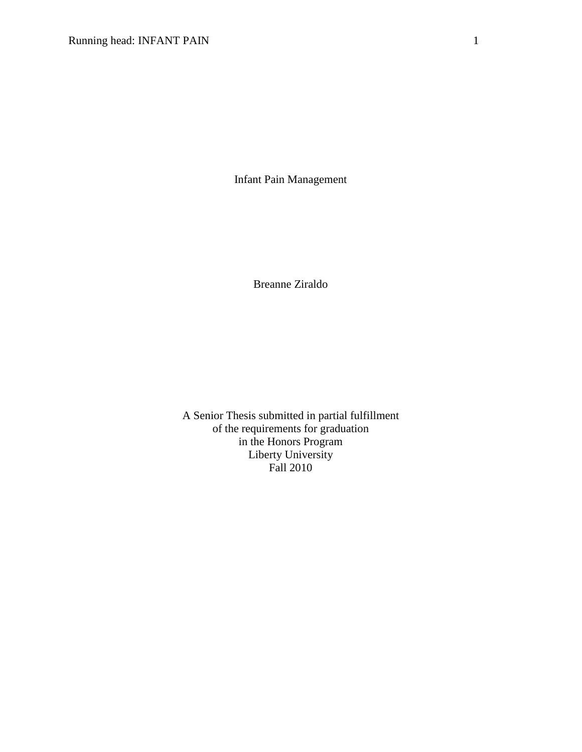Infant Pain Management

Breanne Ziraldo

A Senior Thesis submitted in partial fulfillment of the requirements for graduation in the Honors Program Liberty University Fall 2010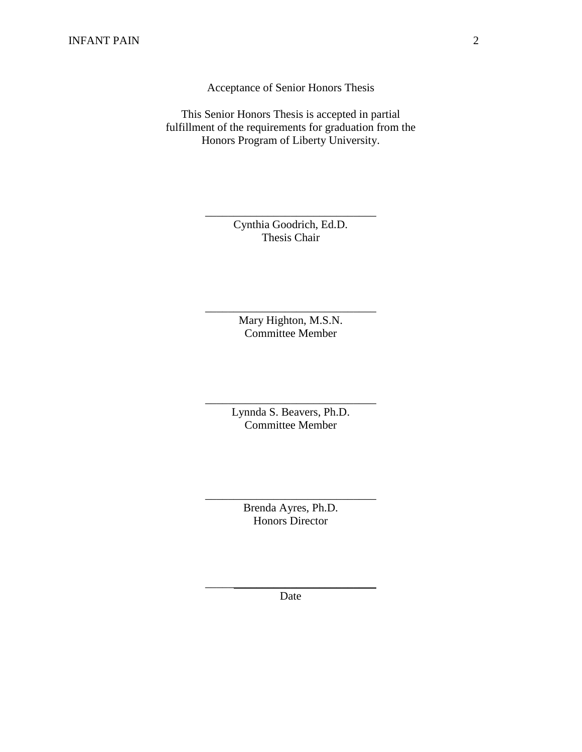Acceptance of Senior Honors Thesis

This Senior Honors Thesis is accepted in partial fulfillment of the requirements for graduation from the Honors Program of Liberty University.

> Cynthia Goodrich, Ed.D. Thesis Chair

\_\_\_\_\_\_\_\_\_\_\_\_\_\_\_\_\_\_\_\_\_\_\_\_\_\_\_\_\_\_

Mary Highton, M.S.N. Committee Member

\_\_\_\_\_\_\_\_\_\_\_\_\_\_\_\_\_\_\_\_\_\_\_\_\_\_\_\_\_\_

Lynnda S. Beavers, Ph.D. Committee Member

\_\_\_\_\_\_\_\_\_\_\_\_\_\_\_\_\_\_\_\_\_\_\_\_\_\_\_\_\_\_

Brenda Ayres, Ph.D. Honors Director

\_\_\_\_\_\_\_\_\_\_\_\_\_\_\_\_\_\_\_\_\_\_\_\_\_\_\_\_\_\_

 $\frac{1}{2}$  ,  $\frac{1}{2}$  ,  $\frac{1}{2}$  ,  $\frac{1}{2}$  ,  $\frac{1}{2}$  ,  $\frac{1}{2}$  ,  $\frac{1}{2}$  ,  $\frac{1}{2}$  ,  $\frac{1}{2}$  ,  $\frac{1}{2}$  ,  $\frac{1}{2}$  ,  $\frac{1}{2}$  ,  $\frac{1}{2}$  ,  $\frac{1}{2}$  ,  $\frac{1}{2}$  ,  $\frac{1}{2}$  ,  $\frac{1}{2}$  ,  $\frac{1}{2}$  ,  $\frac{1$ Date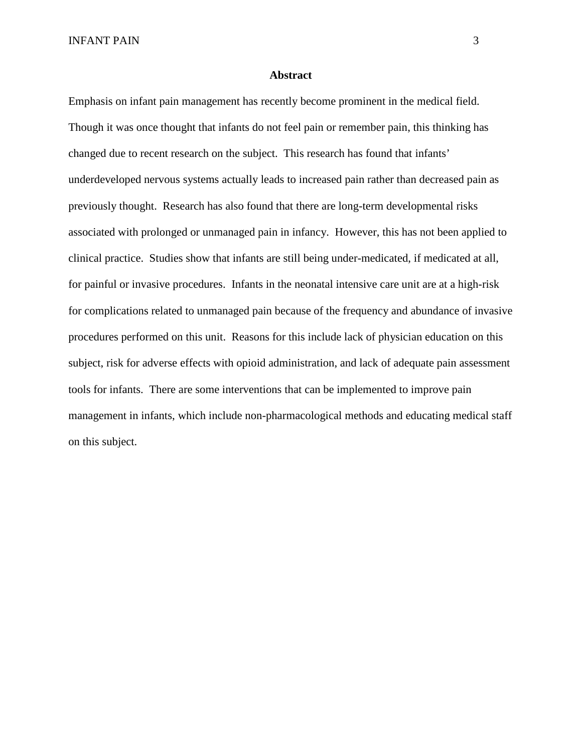INFANT PAIN 3

### **Abstract**

Emphasis on infant pain management has recently become prominent in the medical field. Though it was once thought that infants do not feel pain or remember pain, this thinking has changed due to recent research on the subject. This research has found that infants' underdeveloped nervous systems actually leads to increased pain rather than decreased pain as previously thought. Research has also found that there are long-term developmental risks associated with prolonged or unmanaged pain in infancy. However, this has not been applied to clinical practice. Studies show that infants are still being under-medicated, if medicated at all, for painful or invasive procedures. Infants in the neonatal intensive care unit are at a high-risk for complications related to unmanaged pain because of the frequency and abundance of invasive procedures performed on this unit. Reasons for this include lack of physician education on this subject, risk for adverse effects with opioid administration, and lack of adequate pain assessment tools for infants. There are some interventions that can be implemented to improve pain management in infants, which include non-pharmacological methods and educating medical staff on this subject.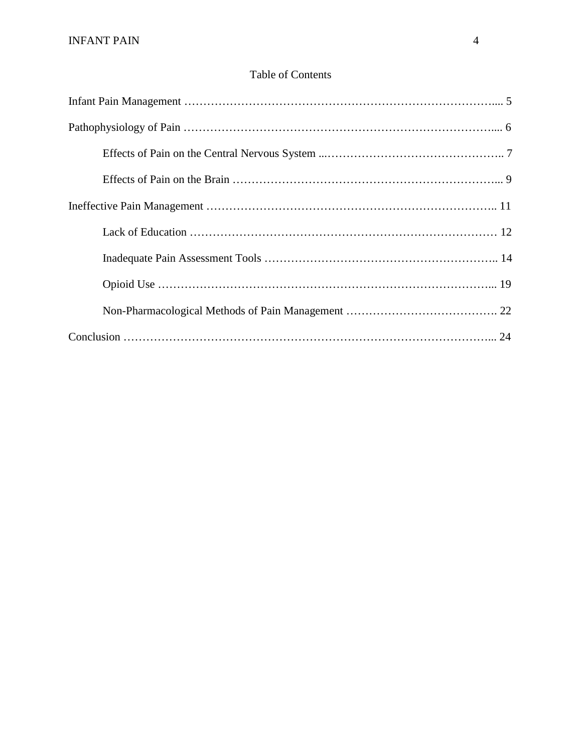# Table of Contents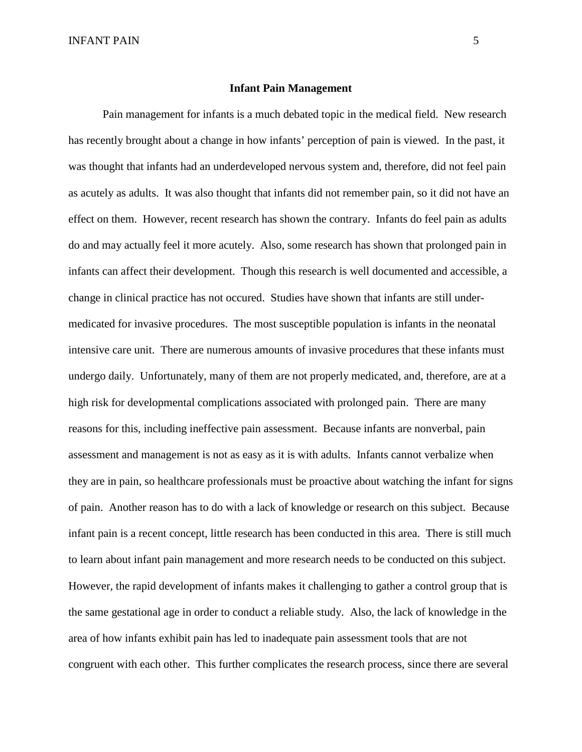### **Infant Pain Management**

Pain management for infants is a much debated topic in the medical field. New research has recently brought about a change in how infants' perception of pain is viewed. In the past, it was thought that infants had an underdeveloped nervous system and, therefore, did not feel pain as acutely as adults. It was also thought that infants did not remember pain, so it did not have an effect on them. However, recent research has shown the contrary. Infants do feel pain as adults do and may actually feel it more acutely. Also, some research has shown that prolonged pain in infants can affect their development. Though this research is well documented and accessible, a change in clinical practice has not occured. Studies have shown that infants are still undermedicated for invasive procedures. The most susceptible population is infants in the neonatal intensive care unit. There are numerous amounts of invasive procedures that these infants must undergo daily. Unfortunately, many of them are not properly medicated, and, therefore, are at a high risk for developmental complications associated with prolonged pain. There are many reasons for this, including ineffective pain assessment. Because infants are nonverbal, pain assessment and management is not as easy as it is with adults. Infants cannot verbalize when they are in pain, so healthcare professionals must be proactive about watching the infant for signs of pain. Another reason has to do with a lack of knowledge or research on this subject. Because infant pain is a recent concept, little research has been conducted in this area. There is still much to learn about infant pain management and more research needs to be conducted on this subject. However, the rapid development of infants makes it challenging to gather a control group that is the same gestational age in order to conduct a reliable study. Also, the lack of knowledge in the area of how infants exhibit pain has led to inadequate pain assessment tools that are not congruent with each other. This further complicates the research process, since there are several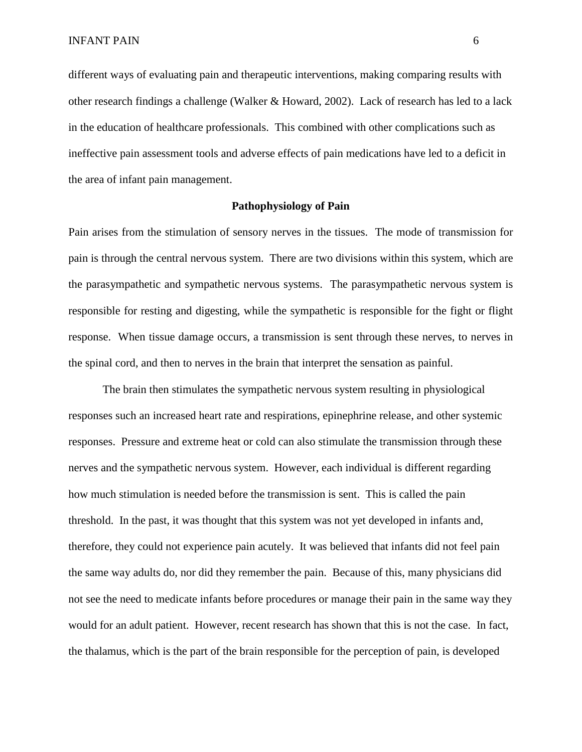different ways of evaluating pain and therapeutic interventions, making comparing results with other research findings a challenge (Walker & Howard, 2002). Lack of research has led to a lack in the education of healthcare professionals. This combined with other complications such as ineffective pain assessment tools and adverse effects of pain medications have led to a deficit in the area of infant pain management.

## **Pathophysiology of Pain**

Pain arises from the stimulation of sensory nerves in the tissues. The mode of transmission for pain is through the central nervous system. There are two divisions within this system, which are the parasympathetic and sympathetic nervous systems. The parasympathetic nervous system is responsible for resting and digesting, while the sympathetic is responsible for the fight or flight response. When tissue damage occurs, a transmission is sent through these nerves, to nerves in the spinal cord, and then to nerves in the brain that interpret the sensation as painful.

The brain then stimulates the sympathetic nervous system resulting in physiological responses such an increased heart rate and respirations, epinephrine release, and other systemic responses. Pressure and extreme heat or cold can also stimulate the transmission through these nerves and the sympathetic nervous system. However, each individual is different regarding how much stimulation is needed before the transmission is sent. This is called the pain threshold. In the past, it was thought that this system was not yet developed in infants and, therefore, they could not experience pain acutely. It was believed that infants did not feel pain the same way adults do, nor did they remember the pain. Because of this, many physicians did not see the need to medicate infants before procedures or manage their pain in the same way they would for an adult patient. However, recent research has shown that this is not the case. In fact, the thalamus, which is the part of the brain responsible for the perception of pain, is developed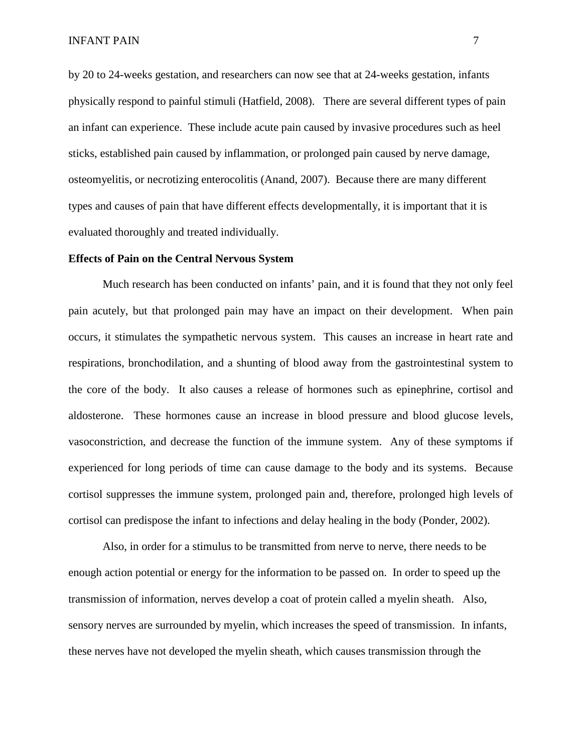by 20 to 24-weeks gestation, and researchers can now see that at 24-weeks gestation, infants physically respond to painful stimuli (Hatfield, 2008). There are several different types of pain an infant can experience. These include acute pain caused by invasive procedures such as heel sticks, established pain caused by inflammation, or prolonged pain caused by nerve damage, osteomyelitis, or necrotizing enterocolitis (Anand, 2007). Because there are many different types and causes of pain that have different effects developmentally, it is important that it is evaluated thoroughly and treated individually.

### **Effects of Pain on the Central Nervous System**

Much research has been conducted on infants' pain, and it is found that they not only feel pain acutely, but that prolonged pain may have an impact on their development. When pain occurs, it stimulates the sympathetic nervous system. This causes an increase in heart rate and respirations, bronchodilation, and a shunting of blood away from the gastrointestinal system to the core of the body. It also causes a release of hormones such as epinephrine, cortisol and aldosterone. These hormones cause an increase in blood pressure and blood glucose levels, vasoconstriction, and decrease the function of the immune system. Any of these symptoms if experienced for long periods of time can cause damage to the body and its systems. Because cortisol suppresses the immune system, prolonged pain and, therefore, prolonged high levels of cortisol can predispose the infant to infections and delay healing in the body (Ponder, 2002).

Also, in order for a stimulus to be transmitted from nerve to nerve, there needs to be enough action potential or energy for the information to be passed on. In order to speed up the transmission of information, nerves develop a coat of protein called a myelin sheath. Also, sensory nerves are surrounded by myelin, which increases the speed of transmission. In infants, these nerves have not developed the myelin sheath, which causes transmission through the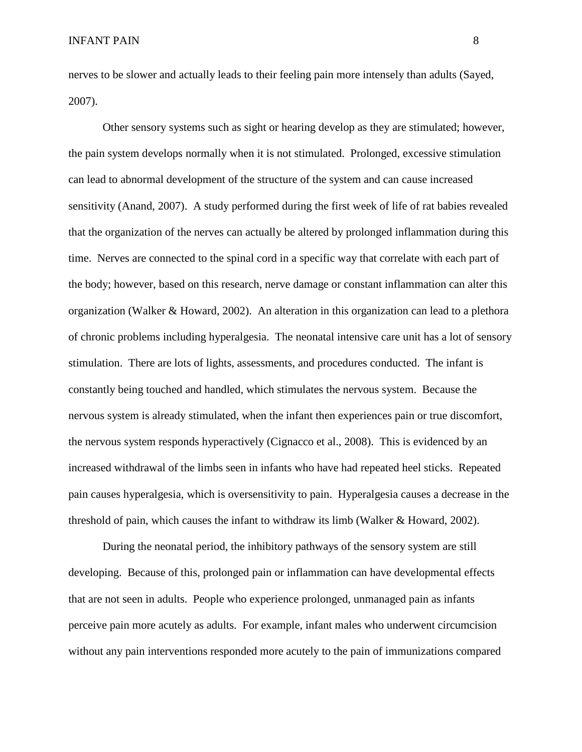nerves to be slower and actually leads to their feeling pain more intensely than adults (Sayed, 2007).

Other sensory systems such as sight or hearing develop as they are stimulated; however, the pain system develops normally when it is not stimulated. Prolonged, excessive stimulation can lead to abnormal development of the structure of the system and can cause increased sensitivity (Anand, 2007). A study performed during the first week of life of rat babies revealed that the organization of the nerves can actually be altered by prolonged inflammation during this time. Nerves are connected to the spinal cord in a specific way that correlate with each part of the body; however, based on this research, nerve damage or constant inflammation can alter this organization (Walker & Howard, 2002). An alteration in this organization can lead to a plethora of chronic problems including hyperalgesia. The neonatal intensive care unit has a lot of sensory stimulation. There are lots of lights, assessments, and procedures conducted. The infant is constantly being touched and handled, which stimulates the nervous system. Because the nervous system is already stimulated, when the infant then experiences pain or true discomfort, the nervous system responds hyperactively (Cignacco et al., 2008). This is evidenced by an increased withdrawal of the limbs seen in infants who have had repeated heel sticks. Repeated pain causes hyperalgesia, which is oversensitivity to pain. Hyperalgesia causes a decrease in the threshold of pain, which causes the infant to withdraw its limb (Walker & Howard, 2002).

During the neonatal period, the inhibitory pathways of the sensory system are still developing. Because of this, prolonged pain or inflammation can have developmental effects that are not seen in adults. People who experience prolonged, unmanaged pain as infants perceive pain more acutely as adults. For example, infant males who underwent circumcision without any pain interventions responded more acutely to the pain of immunizations compared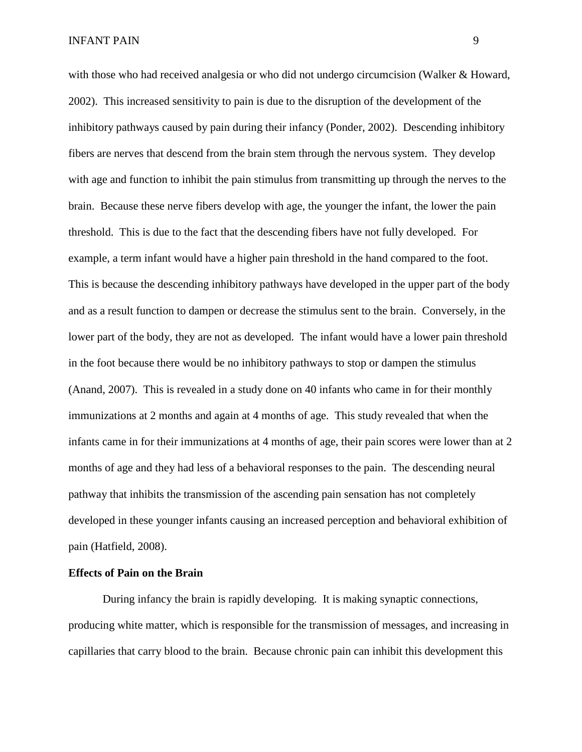with those who had received analgesia or who did not undergo circumcision (Walker & Howard, 2002). This increased sensitivity to pain is due to the disruption of the development of the inhibitory pathways caused by pain during their infancy (Ponder, 2002). Descending inhibitory fibers are nerves that descend from the brain stem through the nervous system. They develop with age and function to inhibit the pain stimulus from transmitting up through the nerves to the brain. Because these nerve fibers develop with age, the younger the infant, the lower the pain threshold. This is due to the fact that the descending fibers have not fully developed. For example, a term infant would have a higher pain threshold in the hand compared to the foot. This is because the descending inhibitory pathways have developed in the upper part of the body and as a result function to dampen or decrease the stimulus sent to the brain. Conversely, in the lower part of the body, they are not as developed. The infant would have a lower pain threshold in the foot because there would be no inhibitory pathways to stop or dampen the stimulus (Anand, 2007). This is revealed in a study done on 40 infants who came in for their monthly immunizations at 2 months and again at 4 months of age. This study revealed that when the infants came in for their immunizations at 4 months of age, their pain scores were lower than at 2 months of age and they had less of a behavioral responses to the pain. The descending neural pathway that inhibits the transmission of the ascending pain sensation has not completely developed in these younger infants causing an increased perception and behavioral exhibition of pain (Hatfield, 2008).

#### **Effects of Pain on the Brain**

During infancy the brain is rapidly developing. It is making synaptic connections, producing white matter, which is responsible for the transmission of messages, and increasing in capillaries that carry blood to the brain. Because chronic pain can inhibit this development this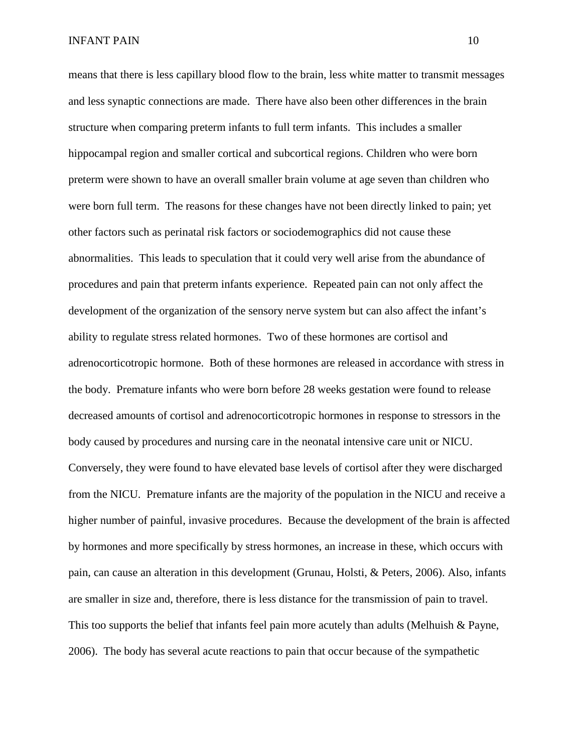means that there is less capillary blood flow to the brain, less white matter to transmit messages and less synaptic connections are made. There have also been other differences in the brain structure when comparing preterm infants to full term infants. This includes a smaller hippocampal region and smaller cortical and subcortical regions. Children who were born preterm were shown to have an overall smaller brain volume at age seven than children who were born full term. The reasons for these changes have not been directly linked to pain; yet other factors such as perinatal risk factors or sociodemographics did not cause these abnormalities. This leads to speculation that it could very well arise from the abundance of procedures and pain that preterm infants experience. Repeated pain can not only affect the development of the organization of the sensory nerve system but can also affect the infant's ability to regulate stress related hormones. Two of these hormones are cortisol and adrenocorticotropic hormone. Both of these hormones are released in accordance with stress in the body. Premature infants who were born before 28 weeks gestation were found to release decreased amounts of cortisol and adrenocorticotropic hormones in response to stressors in the body caused by procedures and nursing care in the neonatal intensive care unit or NICU. Conversely, they were found to have elevated base levels of cortisol after they were discharged from the NICU. Premature infants are the majority of the population in the NICU and receive a higher number of painful, invasive procedures. Because the development of the brain is affected by hormones and more specifically by stress hormones, an increase in these, which occurs with pain, can cause an alteration in this development (Grunau, Holsti, & Peters, 2006). Also, infants are smaller in size and, therefore, there is less distance for the transmission of pain to travel. This too supports the belief that infants feel pain more acutely than adults (Melhuish & Payne, 2006). The body has several acute reactions to pain that occur because of the sympathetic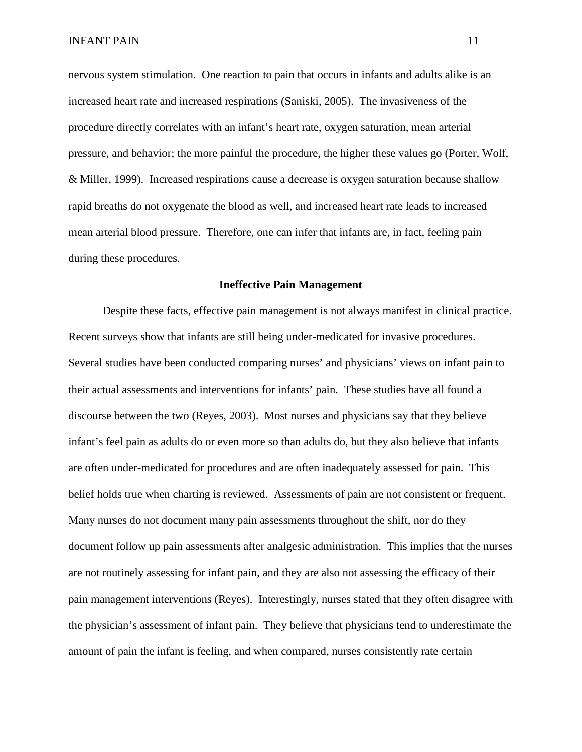nervous system stimulation. One reaction to pain that occurs in infants and adults alike is an increased heart rate and increased respirations (Saniski, 2005). The invasiveness of the procedure directly correlates with an infant's heart rate, oxygen saturation, mean arterial pressure, and behavior; the more painful the procedure, the higher these values go (Porter, Wolf, & Miller, 1999). Increased respirations cause a decrease is oxygen saturation because shallow rapid breaths do not oxygenate the blood as well, and increased heart rate leads to increased mean arterial blood pressure. Therefore, one can infer that infants are, in fact, feeling pain during these procedures.

#### **Ineffective Pain Management**

Despite these facts, effective pain management is not always manifest in clinical practice. Recent surveys show that infants are still being under-medicated for invasive procedures. Several studies have been conducted comparing nurses' and physicians' views on infant pain to their actual assessments and interventions for infants' pain. These studies have all found a discourse between the two (Reyes, 2003). Most nurses and physicians say that they believe infant's feel pain as adults do or even more so than adults do, but they also believe that infants are often under-medicated for procedures and are often inadequately assessed for pain. This belief holds true when charting is reviewed. Assessments of pain are not consistent or frequent. Many nurses do not document many pain assessments throughout the shift, nor do they document follow up pain assessments after analgesic administration. This implies that the nurses are not routinely assessing for infant pain, and they are also not assessing the efficacy of their pain management interventions (Reyes). Interestingly, nurses stated that they often disagree with the physician's assessment of infant pain. They believe that physicians tend to underestimate the amount of pain the infant is feeling, and when compared, nurses consistently rate certain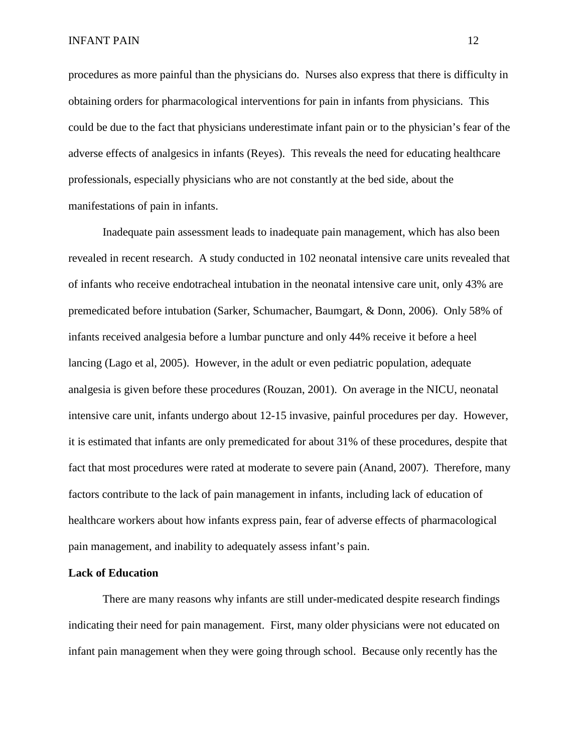procedures as more painful than the physicians do. Nurses also express that there is difficulty in obtaining orders for pharmacological interventions for pain in infants from physicians. This could be due to the fact that physicians underestimate infant pain or to the physician's fear of the adverse effects of analgesics in infants (Reyes). This reveals the need for educating healthcare professionals, especially physicians who are not constantly at the bed side, about the manifestations of pain in infants.

Inadequate pain assessment leads to inadequate pain management, which has also been revealed in recent research. A study conducted in 102 neonatal intensive care units revealed that of infants who receive endotracheal intubation in the neonatal intensive care unit, only 43% are premedicated before intubation (Sarker, Schumacher, Baumgart, & Donn, 2006). Only 58% of infants received analgesia before a lumbar puncture and only 44% receive it before a heel lancing (Lago et al, 2005). However, in the adult or even pediatric population, adequate analgesia is given before these procedures (Rouzan, 2001). On average in the NICU, neonatal intensive care unit, infants undergo about 12-15 invasive, painful procedures per day. However, it is estimated that infants are only premedicated for about 31% of these procedures, despite that fact that most procedures were rated at moderate to severe pain (Anand, 2007). Therefore, many factors contribute to the lack of pain management in infants, including lack of education of healthcare workers about how infants express pain, fear of adverse effects of pharmacological pain management, and inability to adequately assess infant's pain.

#### **Lack of Education**

There are many reasons why infants are still under-medicated despite research findings indicating their need for pain management. First, many older physicians were not educated on infant pain management when they were going through school. Because only recently has the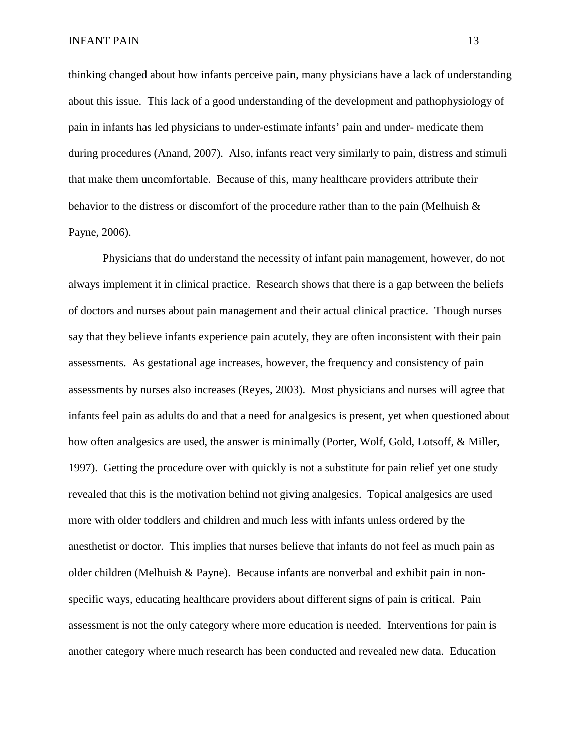thinking changed about how infants perceive pain, many physicians have a lack of understanding about this issue. This lack of a good understanding of the development and pathophysiology of pain in infants has led physicians to under-estimate infants' pain and under- medicate them during procedures (Anand, 2007). Also, infants react very similarly to pain, distress and stimuli that make them uncomfortable. Because of this, many healthcare providers attribute their behavior to the distress or discomfort of the procedure rather than to the pain (Melhuish & Payne, 2006).

Physicians that do understand the necessity of infant pain management, however, do not always implement it in clinical practice. Research shows that there is a gap between the beliefs of doctors and nurses about pain management and their actual clinical practice. Though nurses say that they believe infants experience pain acutely, they are often inconsistent with their pain assessments. As gestational age increases, however, the frequency and consistency of pain assessments by nurses also increases (Reyes, 2003). Most physicians and nurses will agree that infants feel pain as adults do and that a need for analgesics is present, yet when questioned about how often analgesics are used, the answer is minimally (Porter, Wolf, Gold, Lotsoff, & Miller, 1997). Getting the procedure over with quickly is not a substitute for pain relief yet one study revealed that this is the motivation behind not giving analgesics. Topical analgesics are used more with older toddlers and children and much less with infants unless ordered by the anesthetist or doctor. This implies that nurses believe that infants do not feel as much pain as older children (Melhuish & Payne). Because infants are nonverbal and exhibit pain in nonspecific ways, educating healthcare providers about different signs of pain is critical. Pain assessment is not the only category where more education is needed. Interventions for pain is another category where much research has been conducted and revealed new data. Education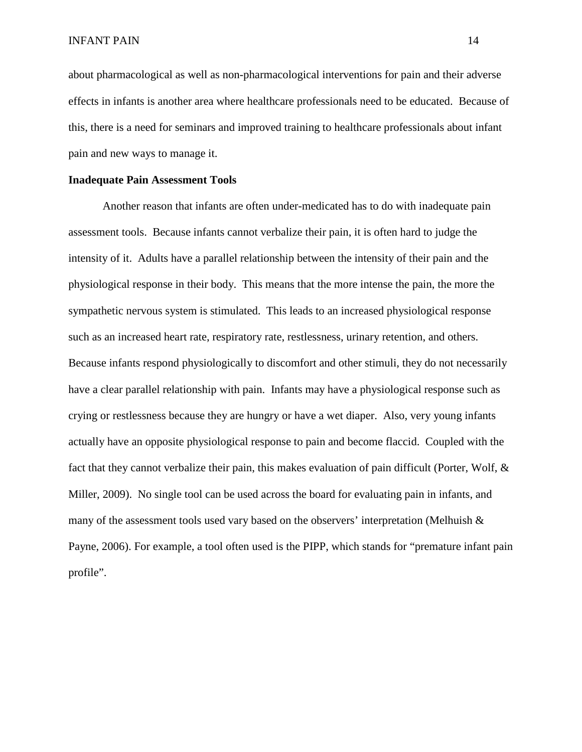about pharmacological as well as non-pharmacological interventions for pain and their adverse effects in infants is another area where healthcare professionals need to be educated. Because of this, there is a need for seminars and improved training to healthcare professionals about infant pain and new ways to manage it.

### **Inadequate Pain Assessment Tools**

Another reason that infants are often under-medicated has to do with inadequate pain assessment tools. Because infants cannot verbalize their pain, it is often hard to judge the intensity of it. Adults have a parallel relationship between the intensity of their pain and the physiological response in their body. This means that the more intense the pain, the more the sympathetic nervous system is stimulated. This leads to an increased physiological response such as an increased heart rate, respiratory rate, restlessness, urinary retention, and others. Because infants respond physiologically to discomfort and other stimuli, they do not necessarily have a clear parallel relationship with pain. Infants may have a physiological response such as crying or restlessness because they are hungry or have a wet diaper. Also, very young infants actually have an opposite physiological response to pain and become flaccid. Coupled with the fact that they cannot verbalize their pain, this makes evaluation of pain difficult (Porter, Wolf, & Miller, 2009). No single tool can be used across the board for evaluating pain in infants, and many of the assessment tools used vary based on the observers' interpretation (Melhuish & Payne, 2006). For example, a tool often used is the PIPP, which stands for "premature infant pain profile".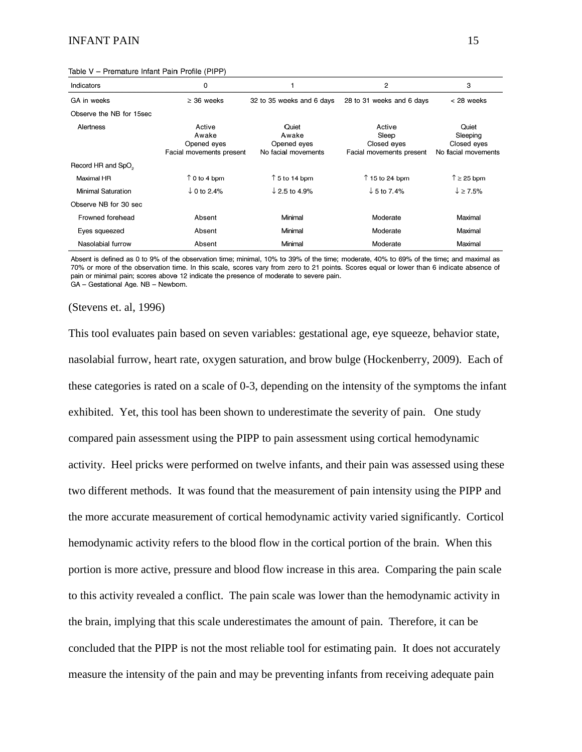### INFANT PAIN 15

| Indicators                     | 0                                                          |                                                      | 2                                                          | 3                                                       |
|--------------------------------|------------------------------------------------------------|------------------------------------------------------|------------------------------------------------------------|---------------------------------------------------------|
| GA in weeks                    | $\geq$ 36 weeks                                            | 32 to 35 weeks and 6 days                            | 28 to 31 weeks and 6 days                                  | < 28 weeks                                              |
| Observe the NB for 15sec       |                                                            |                                                      |                                                            |                                                         |
| Alertness                      | Active<br>Awake<br>Opened eyes<br>Facial movements present | Quiet<br>Awake<br>Opened eyes<br>No facial movements | Active<br>Sleep<br>Closed eyes<br>Facial movements present | Quiet<br>Sleeping<br>Closed eyes<br>No facial movements |
| Record HR and SpO <sub>2</sub> |                                                            |                                                      |                                                            |                                                         |
| Maximal HR                     | $\uparrow$ 0 to 4 bpm                                      | $\uparrow$ 5 to 14 bpm                               | $\uparrow$ 15 to 24 bpm                                    | $\uparrow$ 25 bpm                                       |
| Minimal Saturation             | $\downarrow$ 0 to 2.4%                                     | $\downarrow$ 2.5 to 4.9%                             | $\downarrow$ 5 to 7.4%                                     | $\downarrow$ $\geq$ 7.5%                                |
| Observe NB for 30 sec          |                                                            |                                                      |                                                            |                                                         |
| Frowned forehead               | Absent                                                     | Minimal                                              | Moderate                                                   | Maximal                                                 |
| Eyes squeezed                  | Absent                                                     | Minimal                                              | Moderate                                                   | Maximal                                                 |
| Nasolabial furrow              | Absent                                                     | Minimal                                              | Moderate                                                   | Maximal                                                 |

#### Table V - Premature Infant Pain Profile (PIPP)

Absent is defined as 0 to 9% of the observation time; minimal, 10% to 39% of the time; moderate, 40% to 69% of the time; and maximal as 70% or more of the observation time. In this scale, scores vary from zero to 21 points. Scores equal or lower than 6 indicate absence of pain or minimal pain; scores above 12 indicate the presence of moderate to severe pain. GA - Gestational Age. NB - Newborn.

#### (Stevens et. al, 1996)

This tool evaluates pain based on seven variables: gestational age, eye squeeze, behavior state, nasolabial furrow, heart rate, oxygen saturation, and brow bulge (Hockenberry, 2009). Each of these categories is rated on a scale of 0-3, depending on the intensity of the symptoms the infant exhibited. Yet, this tool has been shown to underestimate the severity of pain. One study compared pain assessment using the PIPP to pain assessment using cortical hemodynamic activity. Heel pricks were performed on twelve infants, and their pain was assessed using these two different methods. It was found that the measurement of pain intensity using the PIPP and the more accurate measurement of cortical hemodynamic activity varied significantly. Corticol hemodynamic activity refers to the blood flow in the cortical portion of the brain. When this portion is more active, pressure and blood flow increase in this area. Comparing the pain scale to this activity revealed a conflict. The pain scale was lower than the hemodynamic activity in the brain, implying that this scale underestimates the amount of pain. Therefore, it can be concluded that the PIPP is not the most reliable tool for estimating pain. It does not accurately measure the intensity of the pain and may be preventing infants from receiving adequate pain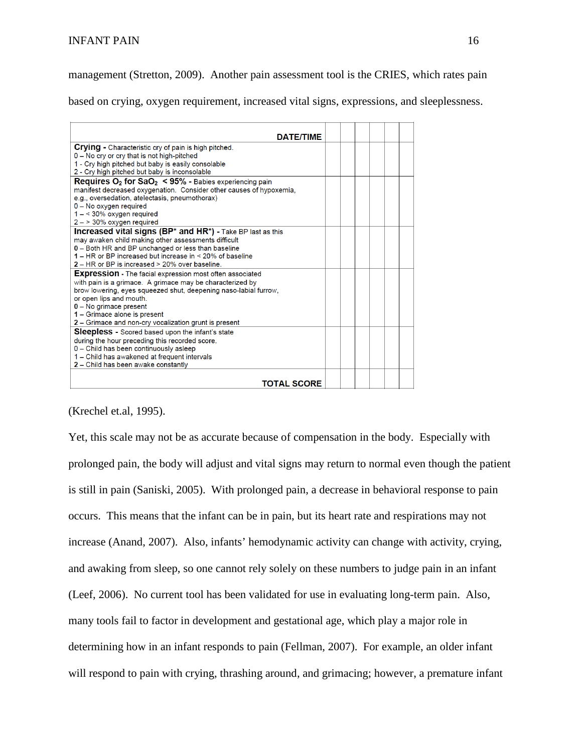management (Stretton, 2009). Another pain assessment tool is the CRIES, which rates pain

based on crying, oxygen requirement, increased vital signs, expressions, and sleeplessness.

| <b>DATE/TIME</b>                                                                      |  |  |  |
|---------------------------------------------------------------------------------------|--|--|--|
| <b>Crying</b> - Characteristic cry of pain is high pitched.                           |  |  |  |
| 0 - No cry or cry that is not high-pitched                                            |  |  |  |
| 1 - Cry high pitched but baby is easily consolable                                    |  |  |  |
| 2 - Cry high pitched but baby is inconsolable                                         |  |  |  |
| <b>Requires O<sub>2</sub> for SaO<sub>2</sub> &lt; 95% - Babies experiencing pain</b> |  |  |  |
| manifest decreased oxygenation. Consider other causes of hypoxemia,                   |  |  |  |
| e.g., oversedation, atelectasis, pneumothorax)                                        |  |  |  |
| 0 - No oxygen required                                                                |  |  |  |
| $1 - 30\%$ oxygen required                                                            |  |  |  |
| $2 - 30\%$ oxygen required                                                            |  |  |  |
| <b>Increased vital signs (BP* and HR*) - Take BP last as this</b>                     |  |  |  |
| may awaken child making other assessments difficult                                   |  |  |  |
| 0 - Both HR and BP unchanged or less than baseline                                    |  |  |  |
| 1 – HR or BP increased but increase in < 20% of baseline                              |  |  |  |
| 2 – HR or BP is increased > 20% over baseline.                                        |  |  |  |
| <b>Expression</b> - The facial expression most often associated                       |  |  |  |
| with pain is a grimace. A grimace may be characterized by                             |  |  |  |
| brow lowering, eyes squeezed shut, deepening naso-labial furrow,                      |  |  |  |
| or open lips and mouth.                                                               |  |  |  |
| $0 - No$ grimace present                                                              |  |  |  |
| 1 - Grimace alone is present                                                          |  |  |  |
| 2 - Grimace and non-cry vocalization grunt is present                                 |  |  |  |
| <b>Sleepless -</b> Scored based upon the infant's state                               |  |  |  |
| during the hour preceding this recorded score.                                        |  |  |  |
| 0 - Child has been continuously asleep                                                |  |  |  |
| 1 – Child has awakened at frequent intervals                                          |  |  |  |
| 2 - Child has been awake constantly                                                   |  |  |  |
|                                                                                       |  |  |  |
| <b>TOTAL SCORE</b>                                                                    |  |  |  |
|                                                                                       |  |  |  |

(Krechel et.al, 1995).

Yet, this scale may not be as accurate because of compensation in the body. Especially with prolonged pain, the body will adjust and vital signs may return to normal even though the patient is still in pain (Saniski, 2005). With prolonged pain, a decrease in behavioral response to pain occurs. This means that the infant can be in pain, but its heart rate and respirations may not increase (Anand, 2007). Also, infants' hemodynamic activity can change with activity, crying, and awaking from sleep, so one cannot rely solely on these numbers to judge pain in an infant (Leef, 2006). No current tool has been validated for use in evaluating long-term pain. Also, many tools fail to factor in development and gestational age, which play a major role in determining how in an infant responds to pain (Fellman, 2007). For example, an older infant will respond to pain with crying, thrashing around, and grimacing; however, a premature infant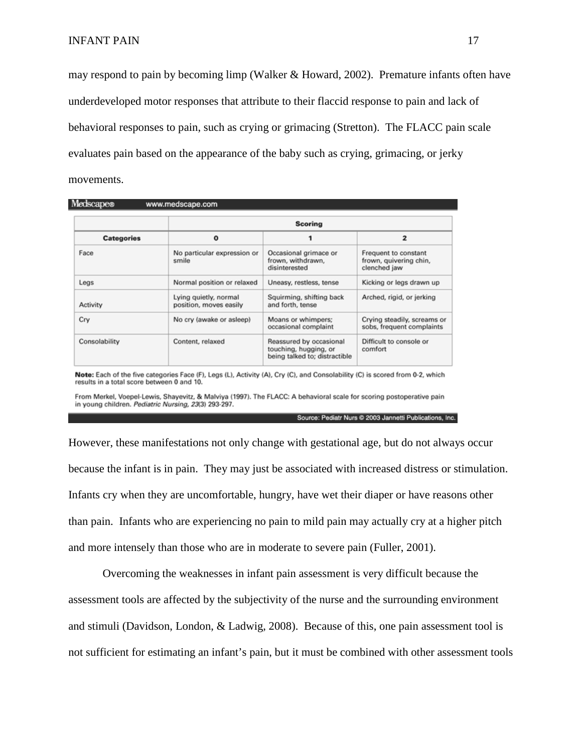may respond to pain by becoming limp (Walker & Howard, 2002). Premature infants often have underdeveloped motor responses that attribute to their flaccid response to pain and lack of behavioral responses to pain, such as crying or grimacing (Stretton). The FLACC pain scale evaluates pain based on the appearance of the baby such as crying, grimacing, or jerky movements.

|                   | <b>Scoring</b>                                  |                                                                                   |                                                                |  |  |
|-------------------|-------------------------------------------------|-----------------------------------------------------------------------------------|----------------------------------------------------------------|--|--|
| <b>Categories</b> | $\mathbf o$                                     |                                                                                   | $\overline{ }$                                                 |  |  |
| Face              | No particular expression or<br>smile            | Occasional grimace or<br>frown, withdrawn,<br>disinterested                       | Frequent to constant<br>frown, quivering chin,<br>clenched jaw |  |  |
| Legs              | Normal position or relaxed                      | Uneasy, restless, tense                                                           | Kicking or legs drawn up                                       |  |  |
| Activity          | Lying quietly, normal<br>position, moves easily | Squirming, shifting back<br>and forth, tense                                      | Arched, rigid, or jerking                                      |  |  |
| Cry               | No cry (awake or asleep)                        | Moans or whimpers;<br>occasional complaint                                        | Crying steadily, screams or<br>sobs, frequent complaints       |  |  |
| Consolability     | Content, relaxed                                | Reassured by occasional<br>touching, hugging, or<br>being talked to; distractible | Difficult to console or<br>comfort                             |  |  |

Note: Each of the five categories Face (F), Legs (L), Activity (A), Cry (C), and Consolability (C) is scored from 0-2, which results in a total score between 0 and 10.

From Merkel, Voepel-Lewis, Shayevitz, & Malviya (1997). The FLACC: A behavioral scale for scoring postoperative pain in young children. Pediatric Nursing, 23(3) 293-297.

Source: Pediatr Nurs @ 2003 Jannetti Publications, Inc.

However, these manifestations not only change with gestational age, but do not always occur because the infant is in pain. They may just be associated with increased distress or stimulation. Infants cry when they are uncomfortable, hungry, have wet their diaper or have reasons other than pain. Infants who are experiencing no pain to mild pain may actually cry at a higher pitch and more intensely than those who are in moderate to severe pain (Fuller, 2001).

Overcoming the weaknesses in infant pain assessment is very difficult because the assessment tools are affected by the subjectivity of the nurse and the surrounding environment and stimuli (Davidson, London, & Ladwig, 2008). Because of this, one pain assessment tool is not sufficient for estimating an infant's pain, but it must be combined with other assessment tools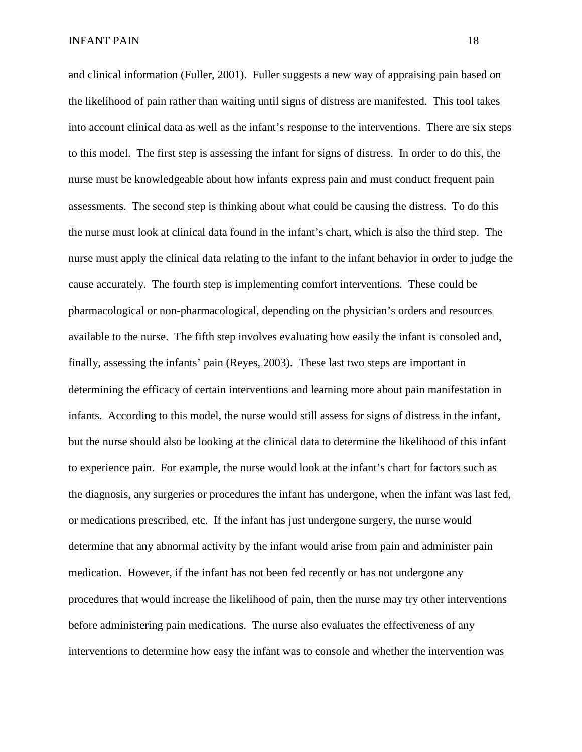and clinical information (Fuller, 2001). Fuller suggests a new way of appraising pain based on the likelihood of pain rather than waiting until signs of distress are manifested. This tool takes into account clinical data as well as the infant's response to the interventions. There are six steps to this model. The first step is assessing the infant for signs of distress. In order to do this, the nurse must be knowledgeable about how infants express pain and must conduct frequent pain assessments. The second step is thinking about what could be causing the distress. To do this the nurse must look at clinical data found in the infant's chart, which is also the third step. The nurse must apply the clinical data relating to the infant to the infant behavior in order to judge the cause accurately. The fourth step is implementing comfort interventions. These could be pharmacological or non-pharmacological, depending on the physician's orders and resources available to the nurse. The fifth step involves evaluating how easily the infant is consoled and, finally, assessing the infants' pain (Reyes, 2003). These last two steps are important in determining the efficacy of certain interventions and learning more about pain manifestation in infants. According to this model, the nurse would still assess for signs of distress in the infant, but the nurse should also be looking at the clinical data to determine the likelihood of this infant to experience pain. For example, the nurse would look at the infant's chart for factors such as the diagnosis, any surgeries or procedures the infant has undergone, when the infant was last fed, or medications prescribed, etc. If the infant has just undergone surgery, the nurse would determine that any abnormal activity by the infant would arise from pain and administer pain medication. However, if the infant has not been fed recently or has not undergone any procedures that would increase the likelihood of pain, then the nurse may try other interventions before administering pain medications. The nurse also evaluates the effectiveness of any interventions to determine how easy the infant was to console and whether the intervention was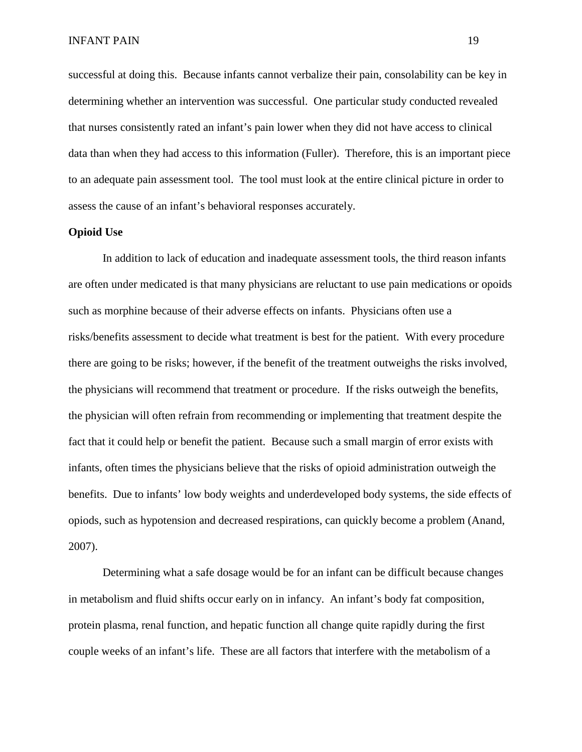successful at doing this. Because infants cannot verbalize their pain, consolability can be key in determining whether an intervention was successful. One particular study conducted revealed that nurses consistently rated an infant's pain lower when they did not have access to clinical data than when they had access to this information (Fuller). Therefore, this is an important piece to an adequate pain assessment tool. The tool must look at the entire clinical picture in order to assess the cause of an infant's behavioral responses accurately.

# **Opioid Use**

In addition to lack of education and inadequate assessment tools, the third reason infants are often under medicated is that many physicians are reluctant to use pain medications or opoids such as morphine because of their adverse effects on infants. Physicians often use a risks/benefits assessment to decide what treatment is best for the patient. With every procedure there are going to be risks; however, if the benefit of the treatment outweighs the risks involved, the physicians will recommend that treatment or procedure. If the risks outweigh the benefits, the physician will often refrain from recommending or implementing that treatment despite the fact that it could help or benefit the patient. Because such a small margin of error exists with infants, often times the physicians believe that the risks of opioid administration outweigh the benefits. Due to infants' low body weights and underdeveloped body systems, the side effects of opiods, such as hypotension and decreased respirations, can quickly become a problem (Anand, 2007).

Determining what a safe dosage would be for an infant can be difficult because changes in metabolism and fluid shifts occur early on in infancy. An infant's body fat composition, protein plasma, renal function, and hepatic function all change quite rapidly during the first couple weeks of an infant's life. These are all factors that interfere with the metabolism of a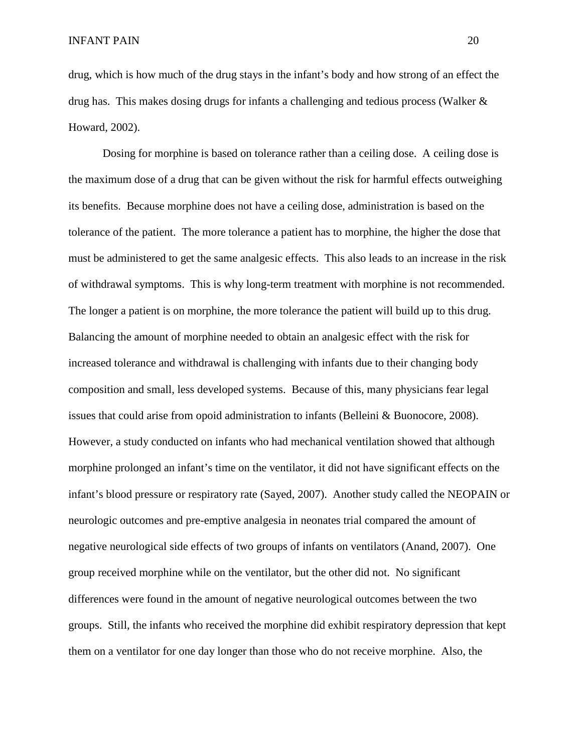drug, which is how much of the drug stays in the infant's body and how strong of an effect the drug has. This makes dosing drugs for infants a challenging and tedious process (Walker & Howard, 2002).

Dosing for morphine is based on tolerance rather than a ceiling dose. A ceiling dose is the maximum dose of a drug that can be given without the risk for harmful effects outweighing its benefits. Because morphine does not have a ceiling dose, administration is based on the tolerance of the patient. The more tolerance a patient has to morphine, the higher the dose that must be administered to get the same analgesic effects. This also leads to an increase in the risk of withdrawal symptoms. This is why long-term treatment with morphine is not recommended. The longer a patient is on morphine, the more tolerance the patient will build up to this drug. Balancing the amount of morphine needed to obtain an analgesic effect with the risk for increased tolerance and withdrawal is challenging with infants due to their changing body composition and small, less developed systems. Because of this, many physicians fear legal issues that could arise from opoid administration to infants (Belleini & Buonocore, 2008). However, a study conducted on infants who had mechanical ventilation showed that although morphine prolonged an infant's time on the ventilator, it did not have significant effects on the infant's blood pressure or respiratory rate (Sayed, 2007). Another study called the NEOPAIN or neurologic outcomes and pre-emptive analgesia in neonates trial compared the amount of negative neurological side effects of two groups of infants on ventilators (Anand, 2007). One group received morphine while on the ventilator, but the other did not. No significant differences were found in the amount of negative neurological outcomes between the two groups. Still, the infants who received the morphine did exhibit respiratory depression that kept them on a ventilator for one day longer than those who do not receive morphine. Also, the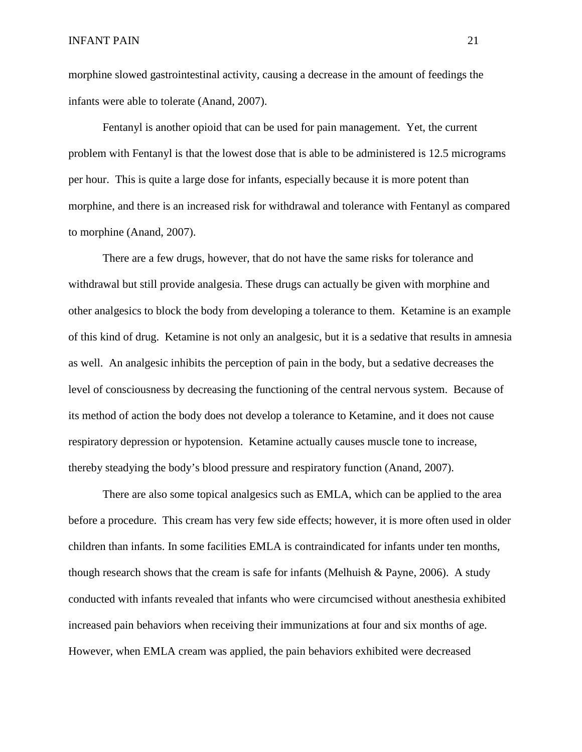morphine slowed gastrointestinal activity, causing a decrease in the amount of feedings the infants were able to tolerate (Anand, 2007).

Fentanyl is another opioid that can be used for pain management. Yet, the current problem with Fentanyl is that the lowest dose that is able to be administered is 12.5 micrograms per hour. This is quite a large dose for infants, especially because it is more potent than morphine, and there is an increased risk for withdrawal and tolerance with Fentanyl as compared to morphine (Anand, 2007).

There are a few drugs, however, that do not have the same risks for tolerance and withdrawal but still provide analgesia. These drugs can actually be given with morphine and other analgesics to block the body from developing a tolerance to them. Ketamine is an example of this kind of drug. Ketamine is not only an analgesic, but it is a sedative that results in amnesia as well. An analgesic inhibits the perception of pain in the body, but a sedative decreases the level of consciousness by decreasing the functioning of the central nervous system. Because of its method of action the body does not develop a tolerance to Ketamine, and it does not cause respiratory depression or hypotension. Ketamine actually causes muscle tone to increase, thereby steadying the body's blood pressure and respiratory function (Anand, 2007).

There are also some topical analgesics such as EMLA, which can be applied to the area before a procedure. This cream has very few side effects; however, it is more often used in older children than infants. In some facilities EMLA is contraindicated for infants under ten months, though research shows that the cream is safe for infants (Melhuish & Payne, 2006). A study conducted with infants revealed that infants who were circumcised without anesthesia exhibited increased pain behaviors when receiving their immunizations at four and six months of age. However, when EMLA cream was applied, the pain behaviors exhibited were decreased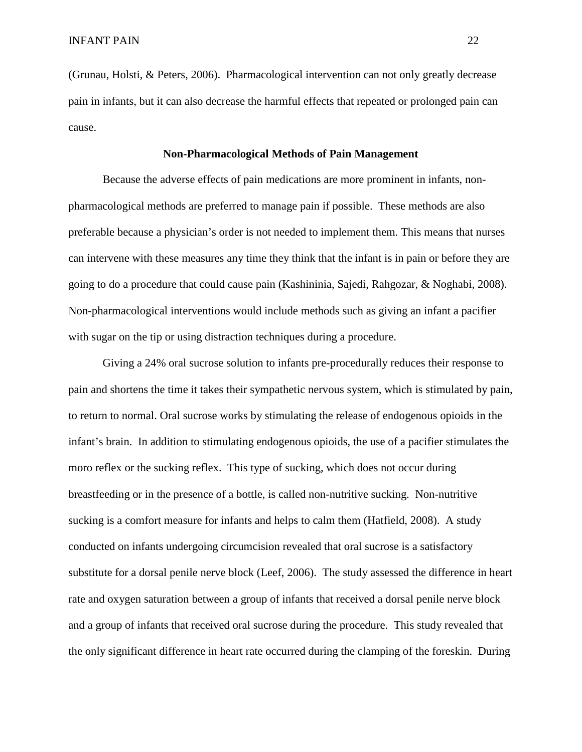(Grunau, Holsti, & Peters, 2006). Pharmacological intervention can not only greatly decrease pain in infants, but it can also decrease the harmful effects that repeated or prolonged pain can cause.

### **Non-Pharmacological Methods of Pain Management**

Because the adverse effects of pain medications are more prominent in infants, nonpharmacological methods are preferred to manage pain if possible. These methods are also preferable because a physician's order is not needed to implement them. This means that nurses can intervene with these measures any time they think that the infant is in pain or before they are going to do a procedure that could cause pain (Kashininia, Sajedi, Rahgozar, & Noghabi, 2008). Non-pharmacological interventions would include methods such as giving an infant a pacifier with sugar on the tip or using distraction techniques during a procedure.

Giving a 24% oral sucrose solution to infants pre-procedurally reduces their response to pain and shortens the time it takes their sympathetic nervous system, which is stimulated by pain, to return to normal. Oral sucrose works by stimulating the release of endogenous opioids in the infant's brain. In addition to stimulating endogenous opioids, the use of a pacifier stimulates the moro reflex or the sucking reflex. This type of sucking, which does not occur during breastfeeding or in the presence of a bottle, is called non-nutritive sucking. Non-nutritive sucking is a comfort measure for infants and helps to calm them (Hatfield, 2008). A study conducted on infants undergoing circumcision revealed that oral sucrose is a satisfactory substitute for a dorsal penile nerve block (Leef, 2006). The study assessed the difference in heart rate and oxygen saturation between a group of infants that received a dorsal penile nerve block and a group of infants that received oral sucrose during the procedure. This study revealed that the only significant difference in heart rate occurred during the clamping of the foreskin. During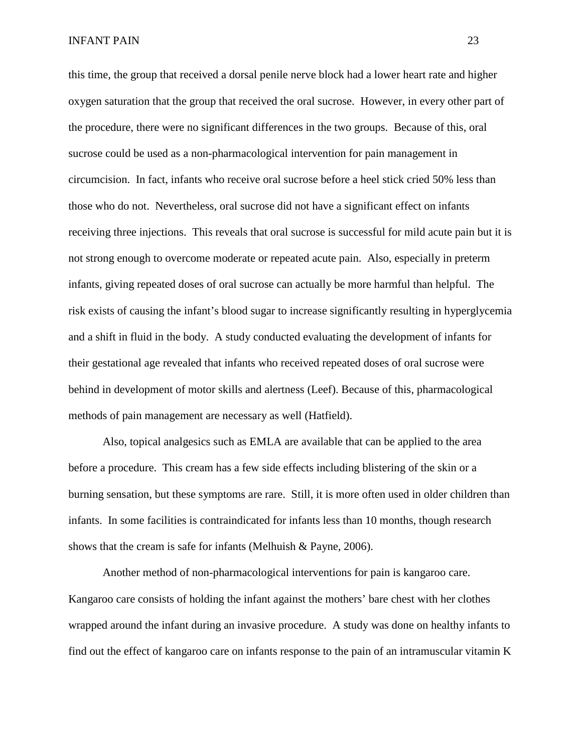this time, the group that received a dorsal penile nerve block had a lower heart rate and higher oxygen saturation that the group that received the oral sucrose. However, in every other part of the procedure, there were no significant differences in the two groups. Because of this, oral sucrose could be used as a non-pharmacological intervention for pain management in circumcision. In fact, infants who receive oral sucrose before a heel stick cried 50% less than those who do not. Nevertheless, oral sucrose did not have a significant effect on infants receiving three injections. This reveals that oral sucrose is successful for mild acute pain but it is not strong enough to overcome moderate or repeated acute pain. Also, especially in preterm infants, giving repeated doses of oral sucrose can actually be more harmful than helpful. The risk exists of causing the infant's blood sugar to increase significantly resulting in hyperglycemia and a shift in fluid in the body. A study conducted evaluating the development of infants for their gestational age revealed that infants who received repeated doses of oral sucrose were behind in development of motor skills and alertness (Leef). Because of this, pharmacological methods of pain management are necessary as well (Hatfield).

Also, topical analgesics such as EMLA are available that can be applied to the area before a procedure. This cream has a few side effects including blistering of the skin or a burning sensation, but these symptoms are rare. Still, it is more often used in older children than infants. In some facilities is contraindicated for infants less than 10 months, though research shows that the cream is safe for infants (Melhuish & Payne, 2006).

Another method of non-pharmacological interventions for pain is kangaroo care. Kangaroo care consists of holding the infant against the mothers' bare chest with her clothes wrapped around the infant during an invasive procedure. A study was done on healthy infants to find out the effect of kangaroo care on infants response to the pain of an intramuscular vitamin K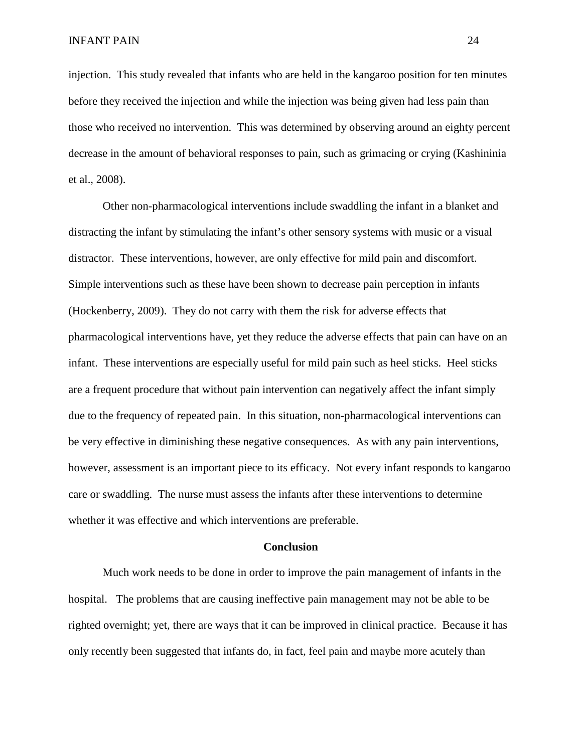injection. This study revealed that infants who are held in the kangaroo position for ten minutes before they received the injection and while the injection was being given had less pain than those who received no intervention. This was determined by observing around an eighty percent decrease in the amount of behavioral responses to pain, such as grimacing or crying (Kashininia et al., 2008).

Other non-pharmacological interventions include swaddling the infant in a blanket and distracting the infant by stimulating the infant's other sensory systems with music or a visual distractor. These interventions, however, are only effective for mild pain and discomfort. Simple interventions such as these have been shown to decrease pain perception in infants (Hockenberry, 2009). They do not carry with them the risk for adverse effects that pharmacological interventions have, yet they reduce the adverse effects that pain can have on an infant. These interventions are especially useful for mild pain such as heel sticks. Heel sticks are a frequent procedure that without pain intervention can negatively affect the infant simply due to the frequency of repeated pain. In this situation, non-pharmacological interventions can be very effective in diminishing these negative consequences. As with any pain interventions, however, assessment is an important piece to its efficacy. Not every infant responds to kangaroo care or swaddling. The nurse must assess the infants after these interventions to determine whether it was effective and which interventions are preferable.

#### **Conclusion**

Much work needs to be done in order to improve the pain management of infants in the hospital. The problems that are causing ineffective pain management may not be able to be righted overnight; yet, there are ways that it can be improved in clinical practice. Because it has only recently been suggested that infants do, in fact, feel pain and maybe more acutely than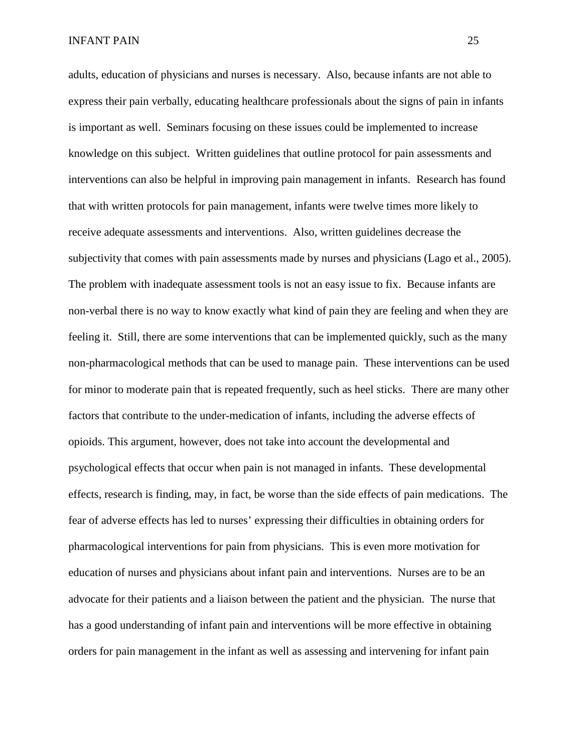adults, education of physicians and nurses is necessary. Also, because infants are not able to express their pain verbally, educating healthcare professionals about the signs of pain in infants is important as well. Seminars focusing on these issues could be implemented to increase knowledge on this subject. Written guidelines that outline protocol for pain assessments and interventions can also be helpful in improving pain management in infants. Research has found that with written protocols for pain management, infants were twelve times more likely to receive adequate assessments and interventions. Also, written guidelines decrease the subjectivity that comes with pain assessments made by nurses and physicians (Lago et al., 2005). The problem with inadequate assessment tools is not an easy issue to fix. Because infants are non-verbal there is no way to know exactly what kind of pain they are feeling and when they are feeling it. Still, there are some interventions that can be implemented quickly, such as the many non-pharmacological methods that can be used to manage pain. These interventions can be used for minor to moderate pain that is repeated frequently, such as heel sticks. There are many other factors that contribute to the under-medication of infants, including the adverse effects of opioids. This argument, however, does not take into account the developmental and psychological effects that occur when pain is not managed in infants. These developmental effects, research is finding, may, in fact, be worse than the side effects of pain medications. The fear of adverse effects has led to nurses' expressing their difficulties in obtaining orders for pharmacological interventions for pain from physicians. This is even more motivation for education of nurses and physicians about infant pain and interventions. Nurses are to be an advocate for their patients and a liaison between the patient and the physician. The nurse that has a good understanding of infant pain and interventions will be more effective in obtaining orders for pain management in the infant as well as assessing and intervening for infant pain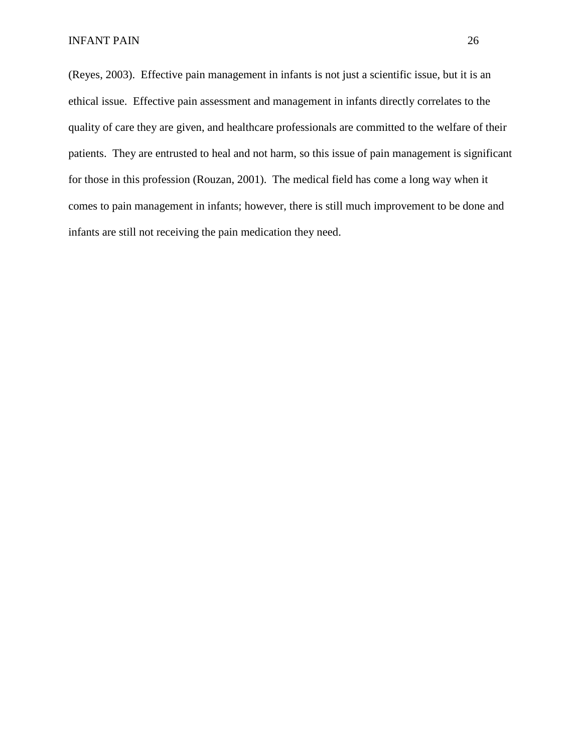(Reyes, 2003). Effective pain management in infants is not just a scientific issue, but it is an ethical issue. Effective pain assessment and management in infants directly correlates to the quality of care they are given, and healthcare professionals are committed to the welfare of their patients. They are entrusted to heal and not harm, so this issue of pain management is significant for those in this profession (Rouzan, 2001). The medical field has come a long way when it comes to pain management in infants; however, there is still much improvement to be done and infants are still not receiving the pain medication they need.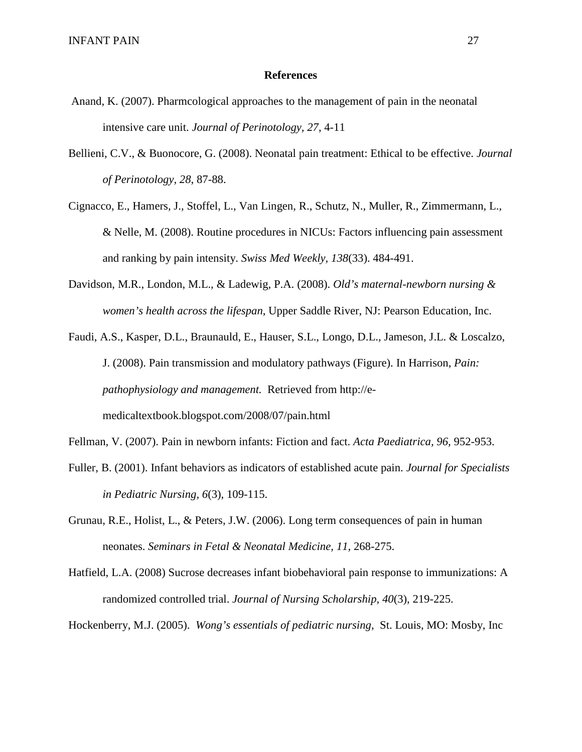### **References**

- Anand, K. (2007). Pharmcological approaches to the management of pain in the neonatal intensive care unit. *Journal of Perinotology, 27*, 4-11
- Bellieni, C.V., & Buonocore, G. (2008). Neonatal pain treatment: Ethical to be effective. *Journal of Perinotology, 28*, 87-88.
- Cignacco, E., Hamers, J., Stoffel, L., Van Lingen, R., Schutz, N., Muller, R., Zimmermann, L., & Nelle, M. (2008). Routine procedures in NICUs: Factors influencing pain assessment and ranking by pain intensity. *Swiss Med Weekly, 138*(33). 484-491.
- Davidson, M.R., London, M.L., & Ladewig, P.A. (2008). *Old's maternal-newborn nursing & women's health across the lifespan*, Upper Saddle River, NJ: Pearson Education, Inc.
- Faudi, A.S., Kasper, D.L., Braunauld, E., Hauser, S.L., Longo, D.L., Jameson, J.L. & Loscalzo, J. (2008). Pain transmission and modulatory pathways (Figure). In Harrison, *Pain: pathophysiology and management.* Retrieved from http://emedicaltextbook.blogspot.com/2008/07/pain.html
- Fellman, V. (2007). Pain in newborn infants: Fiction and fact. *Acta Paediatrica, 96,* 952-953.
- Fuller, B. (2001). Infant behaviors as indicators of established acute pain. *Journal for Specialists in Pediatric Nursing, 6*(3), 109-115.
- Grunau, R.E., Holist, L., & Peters, J.W. (2006). Long term consequences of pain in human neonates. *Seminars in Fetal & Neonatal Medicine, 11,* 268-275.
- Hatfield, L.A. (2008) Sucrose decreases infant biobehavioral pain response to immunizations: A randomized controlled trial. *Journal of Nursing Scholarship, 40*(3), 219-225.

Hockenberry, M.J. (2005). *Wong's essentials of pediatric nursing*, St. Louis, MO: Mosby, Inc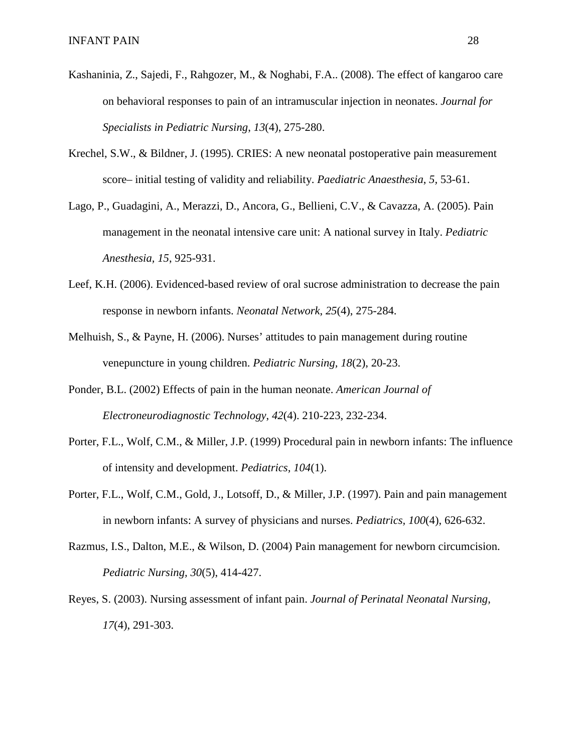- Kashaninia, Z., Sajedi, F., Rahgozer, M., & Noghabi, F.A.. (2008). The effect of kangaroo care on behavioral responses to pain of an intramuscular injection in neonates. *Journal for Specialists in Pediatric Nursing*, *13*(4), 275-280.
- Krechel, S.W., & Bildner, J. (1995). CRIES: A new neonatal postoperative pain measurement score– initial testing of validity and reliability. *Paediatric Anaesthesia*, *5,* 53-61.
- Lago, P., Guadagini, A., Merazzi, D., Ancora, G., Bellieni, C.V., & Cavazza, A. (2005). Pain management in the neonatal intensive care unit: A national survey in Italy. *Pediatric Anesthesia, 15*, 925-931.
- Leef, K.H. (2006). Evidenced-based review of oral sucrose administration to decrease the pain response in newborn infants. *Neonatal Network*, *25*(4), 275-284.
- Melhuish, S., & Payne, H. (2006). Nurses' attitudes to pain management during routine venepuncture in young children. *Pediatric Nursing, 18*(2), 20-23.
- Ponder, B.L. (2002) Effects of pain in the human neonate. *American Journal of Electroneurodiagnostic Technology*, *42*(4). 210-223, 232-234.
- Porter, F.L., Wolf, C.M., & Miller, J.P. (1999) Procedural pain in newborn infants: The influence of intensity and development. *Pediatrics, 104*(1).
- Porter, F.L., Wolf, C.M., Gold, J., Lotsoff, D., & Miller, J.P. (1997). Pain and pain management in newborn infants: A survey of physicians and nurses. *Pediatrics, 100*(4), 626-632.
- Razmus, I.S., Dalton, M.E., & Wilson, D. (2004) Pain management for newborn circumcision. *Pediatric Nursing, 30*(5), 414-427.
- Reyes, S. (2003). Nursing assessment of infant pain. *Journal of Perinatal Neonatal Nursing, 17*(4), 291-303.